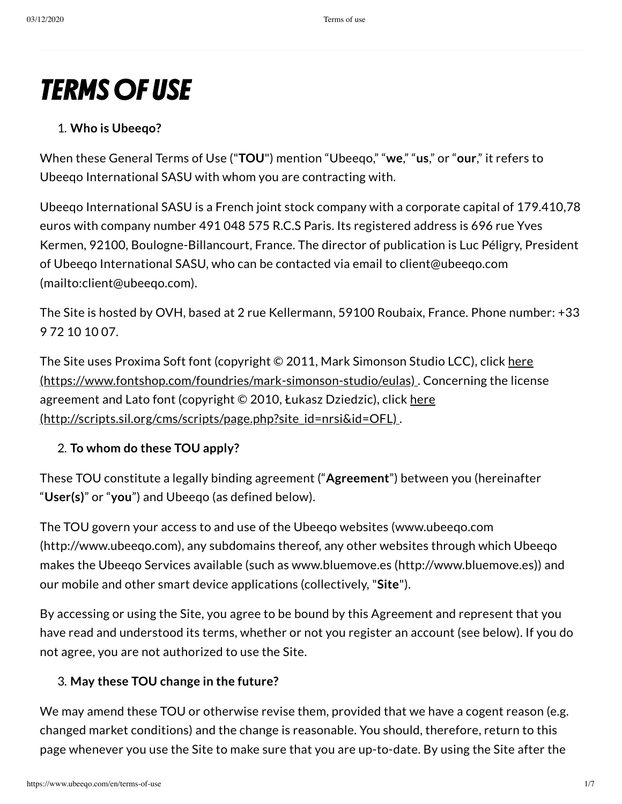# **TERMS OF USE**

## 1. **Who is Ubeeqo?**

When these General Terms of Use ("**TOU**") mention "Ubeeqo," "**we**," "**us**," or "**our**," it refers to Ubeeqo International SASU with whom you are contracting with.

Ubeeqo International SASU is a French joint stock company with a corporate capital of 179.410,78 euros with company number 491 048 575 R.C.S Paris. Its registered address is 696 rue Yves Kermen, 92100, Boulogne-Billancourt, France. The director of publication is Luc Péligry, President of Ubeeqo International SASU, who can be contacted via email to client@ubeeqo.com [\(mailto:client@ubeeqo.com\).](mailto:client@ubeeqo.com)

The Site is hosted by OVH, based at 2 rue Kellermann, 59100 Roubaix, France. Phone number: +33 9 72 10 10 07.

The Site uses Proxima Soft font (copyright © 2011, Mark Simonson Studio LCC), click here [\(https://www.fontshop.com/foundries/mark-simonson-studio/eulas\)](https://www.fontshop.com/foundries/mark-simonson-studio/eulas) . Concerning the license agreement and Lato font (copyright © 2010, Łukasz Dziedzic), click here [\(http://scripts.sil.org/cms/scripts/page.php?site\\_id=nrsi&id=OFL\)](http://scripts.sil.org/cms/scripts/page.php?site_id=nrsi&id=OFL) .

## 2. **To whom do these TOU apply?**

These TOU constitute a legally binding agreement ("**Agreement**") between you (hereinafter "**User(s)**" or "**you**") and Ubeeqo (as defined below).

The TOU govern your access to and use of the Ubeeqo websites (www.ubeeqo.com [\(http://www.ubeeqo.com\),](http://www.ubeeqo.com/) any subdomains thereof, any other websites through which Ubeeqo makes the Ubeeqo Services available (such as www.bluemove.es [\(http://www.bluemove.es\)](http://www.bluemove.es/)) and our mobile and other smart device applications (collectively, "**Site**").

By accessing or using the Site, you agree to be bound by this Agreement and represent that you have read and understood its terms, whether or not you register an account (see below). If you do not agree, you are not authorized to use the Site.

## 3. **May these TOU change in the future?**

We may amend these TOU or otherwise revise them, provided that we have a cogent reason (e.g. changed market conditions) and the change is reasonable. You should, therefore, return to this page whenever you use the Site to make sure that you are up-to-date. By using the Site after the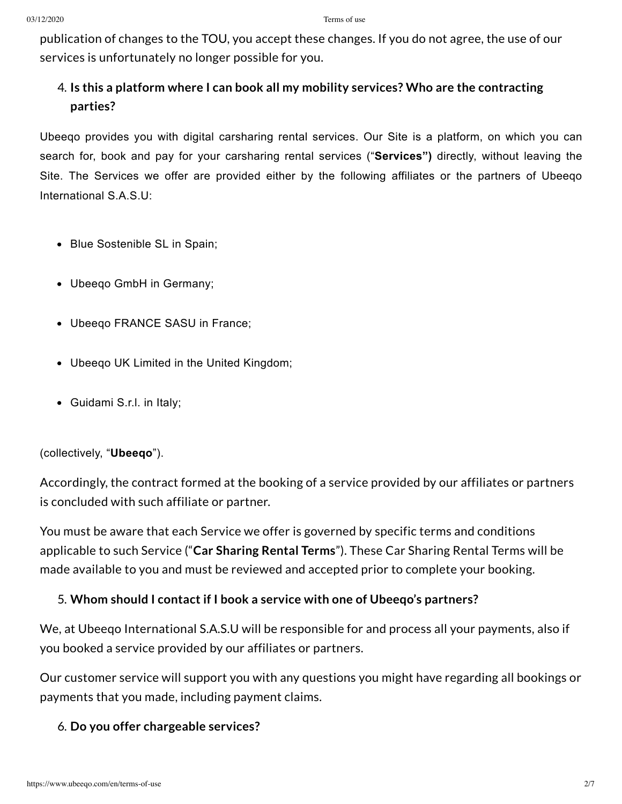publication of changes to the TOU, you accept these changes. If you do not agree, the use of our services is unfortunately no longer possible for you.

# 4. **Is this a platform where I can book all my mobility services? Who are the contracting parties?**

Ubeeqo provides you with digital carsharing rental services. Our Site is a platform, on which you can search for, book and pay for your carsharing rental services ("**Services")** directly, without leaving the Site. The Services we offer are provided either by the following affiliates or the partners of Ubeeqo International S.A.S.U:

- Blue Sostenible SL in Spain;
- Ubeeqo GmbH in Germany;
- Ubeeqo FRANCE SASU in France;
- Ubeeqo UK Limited in the United Kingdom;
- Guidami S.r.l. in Italy;

(collectively, "**Ubeeqo**").

Accordingly, the contract formed at the booking of a service provided by our affiliates or partners is concluded with such affiliate or partner.

You must be aware that each Service we offer is governed by specific terms and conditions applicable to such Service ("**Car Sharing Rental Terms**"). These Car Sharing Rental Terms will be made available to you and must be reviewed and accepted prior to complete your booking.

#### 5. **Whom should I contact if I book a service with one of Ubeeqo's partners?**

We, at Ubeeqo International S.A.S.U will be responsible for and process all your payments, also if you booked a service provided by our affiliates or partners.

Our customer service will support you with any questions you might have regarding all bookings or payments that you made, including payment claims.

#### 6. **Do you offer chargeable services?**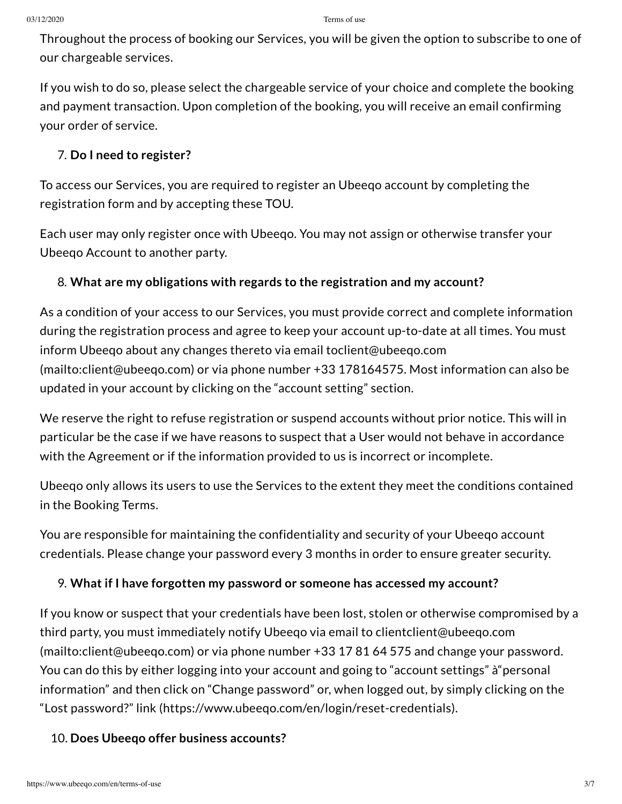Throughout the process of booking our Services, you will be given the option to subscribe to one of our chargeable services.

If you wish to do so, please select the chargeable service of your choice and complete the booking and payment transaction. Upon completion of the booking, you will receive an email confirming your order of service.

## 7. **Do I need to register?**

To access our Services, you are required to register an Ubeeqo account by completing the registration form and by accepting these TOU.

Each user may only register once with Ubeeqo. You may not assign or otherwise transfer your Ubeeqo Account to another party.

## 8. **What are my obligations with regards to the registration and my account?**

As a condition of your access to our Services, you must provide correct and complete information during the registration process and agree to keep your account up-to-date at all times. You must inform Ubeeqo about any changes thereto via email toclient@ubeeqo.com [\(mailto:client@ubeeqo.com\)](mailto:client@ubeeqo.com) or via phone number +33 178164575. Most information can also be updated in your account by clicking on the "account setting" section.

We reserve the right to refuse registration or suspend accounts without prior notice. This will in particular be the case if we have reasons to suspect that a User would not behave in accordance with the Agreement or if the information provided to us is incorrect or incomplete.

Ubeeqo only allows its users to use the Services to the extent they meet the conditions contained in the Booking Terms.

You are responsible for maintaining the confidentiality and security of your Ubeeqo account credentials. Please change your password every 3 months in order to ensure greater security.

## 9. **What if I have forgotten my password or someone has accessed my account?**

If you know or suspect that your credentials have been lost, stolen or otherwise compromised by a third party, you must immediately notify Ubeeqo via email to clientclient@ubeeqo.com [\(mailto:client@ubeeqo.com\)](mailto:client@ubeeqo.com) or via phone number +33 17 81 64 575 and change your password. You can do this by either logging into your account and going to "account settings" à"personal information" and then click on "Change password" or, when logged out, by simply clicking on the "Lost password?" link [\(https://www.ubeeqo.com/en/login/reset-credentials\)](https://www.ubeeqo.com/en/login/reset-credentials).

## 10. **Does Ubeeqo offer business accounts?**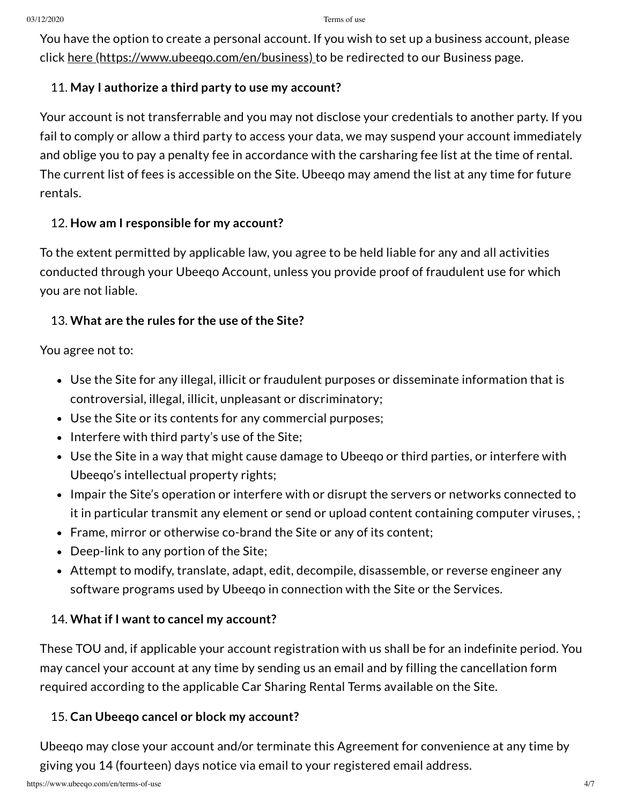You have the option to create a personal account. If you wish to set up a business account, please click here (https://www.ubeego.com/en/business) to be redirected to our Business page.

#### 11. **May I authorize a third party to use my account?**

Your account is not transferrable and you may not disclose your credentials to another party. If you fail to comply or allow a third party to access your data, we may suspend your account immediately and oblige you to pay a penalty fee in accordance with the carsharing fee list at the time of rental. The current list of fees is accessible on the Site. Ubeeqo may amend the list at any time for future rentals.

#### 12. **How am I responsible for my account?**

To the extent permitted by applicable law, you agree to be held liable for any and all activities conducted through your Ubeeqo Account, unless you provide proof of fraudulent use for which you are not liable.

## 13. **What are the rules for the use of the Site?**

You agree not to:

- Use the Site for any illegal, illicit or fraudulent purposes or disseminate information that is controversial, illegal, illicit, unpleasant or discriminatory;
- Use the Site or its contents for any commercial purposes;
- $\bullet$  Interfere with third party's use of the Site;
- Use the Site in a way that might cause damage to Ubeeqo or third parties, or interfere with Ubeeqo's intellectual property rights;
- Impair the Site's operation or interfere with or disrupt the servers or networks connected to it in particular transmit any element or send or upload content containing computer viruses, ;
- Frame, mirror or otherwise co-brand the Site or any of its content;
- Deep-link to any portion of the Site;
- Attempt to modify, translate, adapt, edit, decompile, disassemble, or reverse engineer any software programs used by Ubeeqo in connection with the Site or the Services.

## 14. **What if I want to cancel my account?**

These TOU and, if applicable your account registration with us shall be for an indefinite period. You may cancel your account at any time by sending us an email and by filling the cancellation form required according to the applicable Car Sharing Rental Terms available on the Site.

## 15. **Can Ubeeqo cancel or block my account?**

Ubeeqo may close your account and/or terminate this Agreement for convenience at any time by giving you 14 (fourteen) days notice via email to your registered email address.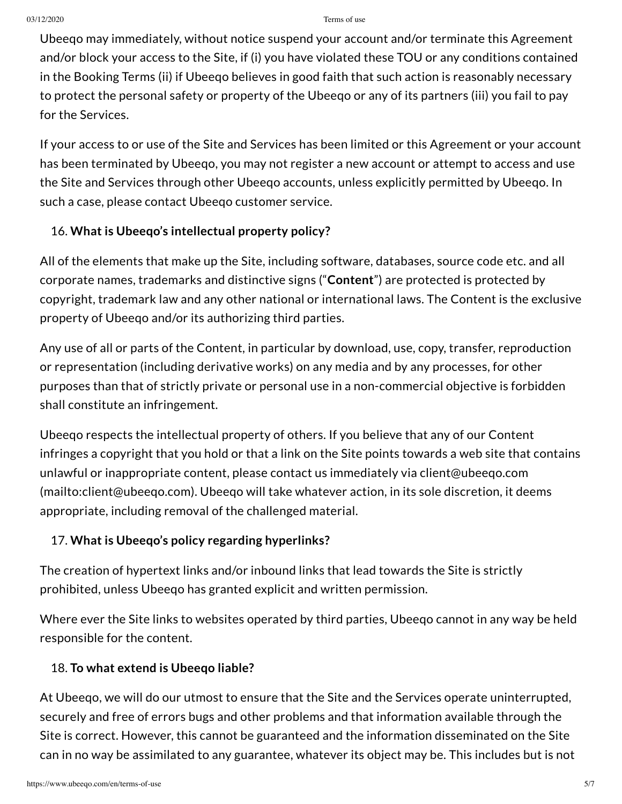Ubeeqo may immediately, without notice suspend your account and/or terminate this Agreement and/or block your access to the Site, if (i) you have violated these TOU or any conditions contained in the Booking Terms (ii) if Ubeeqo believes in good faith that such action is reasonably necessary to protect the personal safety or property of the Ubeeqo or any of its partners (iii) you fail to pay for the Services.

If your access to or use of the Site and Services has been limited or this Agreement or your account has been terminated by Ubeeqo, you may not register a new account or attempt to access and use the Site and Services through other Ubeeqo accounts, unless explicitly permitted by Ubeeqo. In such a case, please contact Ubeeqo customer service.

# 16. **What is Ubeeqo's intellectual property policy?**

All of the elements that make up the Site, including software, databases, source code etc. and all corporate names, trademarks and distinctive signs ("**Content**") are protected is protected by copyright, trademark law and any other national or international laws. The Content is the exclusive property of Ubeeqo and/or its authorizing third parties.

Any use of all or parts of the Content, in particular by download, use, copy, transfer, reproduction or representation (including derivative works) on any media and by any processes, for other purposes than that of strictly private or personal use in a non-commercial objective is forbidden shall constitute an infringement.

Ubeeqo respects the intellectual property of others. If you believe that any of our Content infringes a copyright that you hold or that a link on the Site points towards a web site that contains unlawful or inappropriate content, please contact us immediately via client@ubeeqo.com [\(mailto:client@ubeeqo.com\).](mailto:client@ubeeqo.com) Ubeeqo will take whatever action, in its sole discretion, it deems appropriate, including removal of the challenged material.

# 17. **What is Ubeeqo's policy regarding hyperlinks?**

The creation of hypertext links and/or inbound links that lead towards the Site is strictly prohibited, unless Ubeeqo has granted explicit and written permission.

Where ever the Site links to websites operated by third parties, Ubeeqo cannot in any way be held responsible for the content.

# 18. **To what extend is Ubeeqo liable?**

At Ubeeqo, we will do our utmost to ensure that the Site and the Services operate uninterrupted, securely and free of errors bugs and other problems and that information available through the Site is correct. However, this cannot be guaranteed and the information disseminated on the Site can in no way be assimilated to any guarantee, whatever its object may be. This includes but is not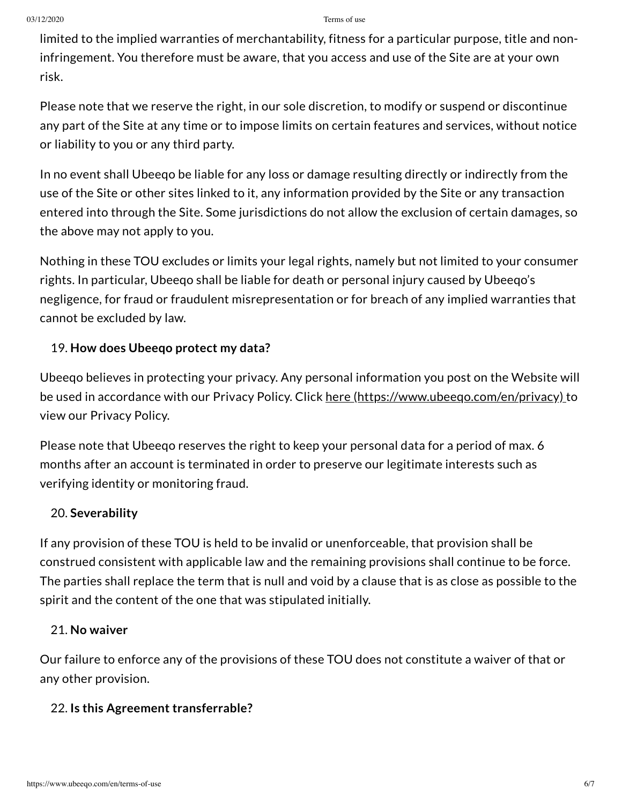limited to the implied warranties of merchantability, fitness for a particular purpose, title and noninfringement. You therefore must be aware, that you access and use of the Site are at your own risk.

Please note that we reserve the right, in our sole discretion, to modify or suspend or discontinue any part of the Site at any time or to impose limits on certain features and services, without notice or liability to you or any third party.

In no event shall Ubeeqo be liable for any loss or damage resulting directly or indirectly from the use of the Site or other sites linked to it, any information provided by the Site or any transaction entered into through the Site. Some jurisdictions do not allow the exclusion of certain damages, so the above may not apply to you.

Nothing in these TOU excludes or limits your legal rights, namely but not limited to your consumer rights. In particular, Ubeeqo shall be liable for death or personal injury caused by Ubeeqo's negligence, for fraud or fraudulent misrepresentation or for breach of any implied warranties that cannot be excluded by law.

#### 19. **How does Ubeeqo protect my data?**

Ubeeqo believes in protecting your privacy. Any personal information you post on the Website will be used in accordance with our Privacy Policy. Click here [\(https://www.ubeeqo.com/en/privacy\)](https://www.ubeeqo.com/en/privacy) to view our Privacy Policy.

Please note that Ubeeqo reserves the right to keep your personal data for a period of max. 6 months after an account is terminated in order to preserve our legitimate interests such as verifying identity or monitoring fraud.

#### 20. **Severability**

If any provision of these TOU is held to be invalid or unenforceable, that provision shall be construed consistent with applicable law and the remaining provisions shall continue to be force. The parties shall replace the term that is null and void by a clause that is as close as possible to the spirit and the content of the one that was stipulated initially.

#### 21. **No waiver**

Our failure to enforce any of the provisions of these TOU does not constitute a waiver of that or any other provision.

#### 22. **Is this Agreement transferrable?**